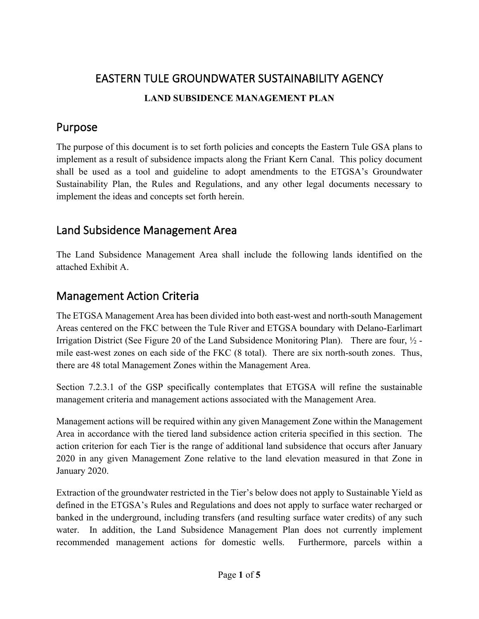# EASTERN TULE GROUNDWATER SUSTAINABILITY AGENCY **LAND SUBSIDENCE MANAGEMENT PLAN**

# Purpose

The purpose of this document is to set forth policies and concepts the Eastern Tule GSA plans to implement as a result of subsidence impacts along the Friant Kern Canal. This policy document shall be used as a tool and guideline to adopt amendments to the ETGSA's Groundwater Sustainability Plan, the Rules and Regulations, and any other legal documents necessary to implement the ideas and concepts set forth herein.

# Land Subsidence Management Area

The Land Subsidence Management Area shall include the following lands identified on the attached Exhibit A.

# Management Action Criteria

The ETGSA Management Area has been divided into both east-west and north-south Management Areas centered on the FKC between the Tule River and ETGSA boundary with Delano-Earlimart Irrigation District (See Figure 20 of the Land Subsidence Monitoring Plan). There are four, ½ mile east-west zones on each side of the FKC (8 total). There are six north-south zones. Thus, there are 48 total Management Zones within the Management Area.

Section 7.2.3.1 of the GSP specifically contemplates that ETGSA will refine the sustainable management criteria and management actions associated with the Management Area.

Management actions will be required within any given Management Zone within the Management Area in accordance with the tiered land subsidence action criteria specified in this section. The action criterion for each Tier is the range of additional land subsidence that occurs after January 2020 in any given Management Zone relative to the land elevation measured in that Zone in January 2020.

Extraction of the groundwater restricted in the Tier's below does not apply to Sustainable Yield as defined in the ETGSA's Rules and Regulations and does not apply to surface water recharged or banked in the underground, including transfers (and resulting surface water credits) of any such water. In addition, the Land Subsidence Management Plan does not currently implement recommended management actions for domestic wells. Furthermore, parcels within a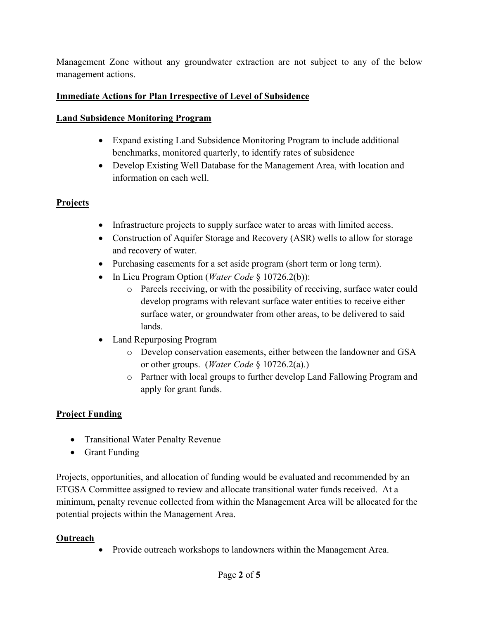Management Zone without any groundwater extraction are not subject to any of the below management actions.

#### **Immediate Actions for Plan Irrespective of Level of Subsidence**

#### **Land Subsidence Monitoring Program**

- Expand existing Land Subsidence Monitoring Program to include additional benchmarks, monitored quarterly, to identify rates of subsidence
- Develop Existing Well Database for the Management Area, with location and information on each well.

## **Projects**

- Infrastructure projects to supply surface water to areas with limited access.
- Construction of Aquifer Storage and Recovery (ASR) wells to allow for storage and recovery of water.
- Purchasing easements for a set aside program (short term or long term).
- In Lieu Program Option (*Water Code* § 10726.2(b)):
	- o Parcels receiving, or with the possibility of receiving, surface water could develop programs with relevant surface water entities to receive either surface water, or groundwater from other areas, to be delivered to said lands.
- Land Repurposing Program
	- o Develop conservation easements, either between the landowner and GSA or other groups. (*Water Code* § 10726.2(a).)
	- o Partner with local groups to further develop Land Fallowing Program and apply for grant funds.

## **Project Funding**

- Transitional Water Penalty Revenue
- Grant Funding

Projects, opportunities, and allocation of funding would be evaluated and recommended by an ETGSA Committee assigned to review and allocate transitional water funds received. At a minimum, penalty revenue collected from within the Management Area will be allocated for the potential projects within the Management Area.

#### **Outreach**

• Provide outreach workshops to landowners within the Management Area.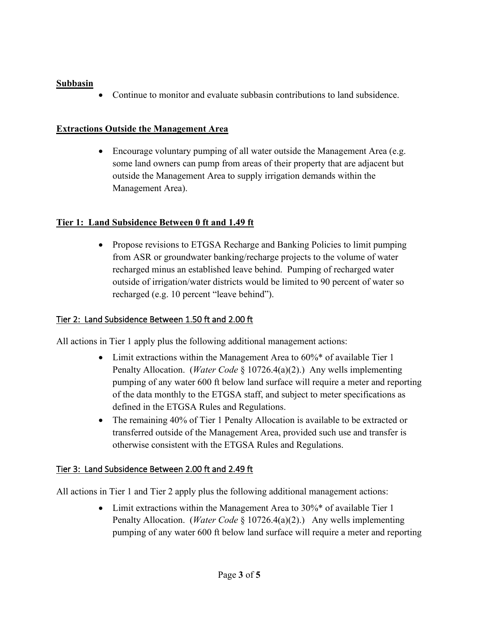#### **Subbasin**

• Continue to monitor and evaluate subbasin contributions to land subsidence.

#### **Extractions Outside the Management Area**

• Encourage voluntary pumping of all water outside the Management Area (e.g. some land owners can pump from areas of their property that are adjacent but outside the Management Area to supply irrigation demands within the Management Area).

#### **Tier 1: Land Subsidence Between 0 ft and 1.49 ft**

• Propose revisions to ETGSA Recharge and Banking Policies to limit pumping from ASR or groundwater banking/recharge projects to the volume of water recharged minus an established leave behind. Pumping of recharged water outside of irrigation/water districts would be limited to 90 percent of water so recharged (e.g. 10 percent "leave behind").

#### Tier 2: Land Subsidence Between 1.50 ft and 2.00 ft

All actions in Tier 1 apply plus the following additional management actions:

- Limit extractions within the Management Area to  $60\%$ \* of available Tier 1 Penalty Allocation. (*Water Code* § 10726.4(a)(2).) Any wells implementing pumping of any water 600 ft below land surface will require a meter and reporting of the data monthly to the ETGSA staff, and subject to meter specifications as defined in the ETGSA Rules and Regulations.
- The remaining 40% of Tier 1 Penalty Allocation is available to be extracted or transferred outside of the Management Area, provided such use and transfer is otherwise consistent with the ETGSA Rules and Regulations.

#### Tier 3: Land Subsidence Between 2.00 ft and 2.49 ft

All actions in Tier 1 and Tier 2 apply plus the following additional management actions:

• Limit extractions within the Management Area to 30%\* of available Tier 1 Penalty Allocation. (*Water Code* § 10726.4(a)(2).) Any wells implementing pumping of any water 600 ft below land surface will require a meter and reporting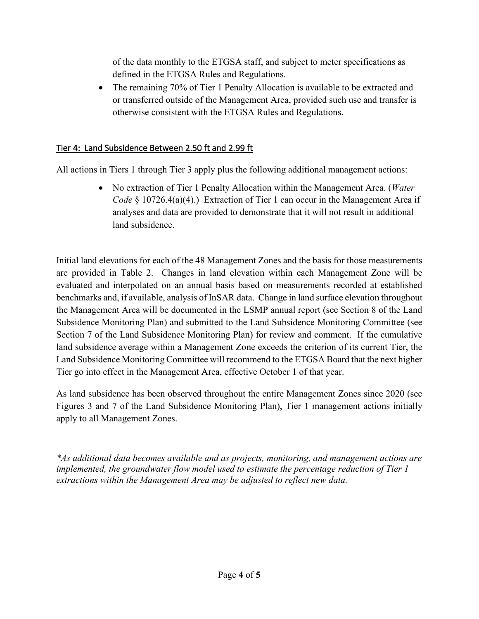of the data monthly to the ETGSA staff, and subject to meter specifications as defined in the ETGSA Rules and Regulations.

• The remaining 70% of Tier 1 Penalty Allocation is available to be extracted and or transferred outside of the Management Area, provided such use and transfer is otherwise consistent with the ETGSA Rules and Regulations.

### Tier 4: Land Subsidence Between 2.50 ft and 2.99 ft

All actions in Tiers 1 through Tier 3 apply plus the following additional management actions:

• No extraction of Tier 1 Penalty Allocation within the Management Area. (*Water Code* § 10726.4(a)(4).) Extraction of Tier 1 can occur in the Management Area if analyses and data are provided to demonstrate that it will not result in additional land subsidence.

Initial land elevations for each of the 48 Management Zones and the basis for those measurements are provided in Table 2. Changes in land elevation within each Management Zone will be evaluated and interpolated on an annual basis based on measurements recorded at established benchmarks and, if available, analysis of InSAR data. Change in land surface elevation throughout the Management Area will be documented in the LSMP annual report (see Section 8 of the Land Subsidence Monitoring Plan) and submitted to the Land Subsidence Monitoring Committee (see Section 7 of the Land Subsidence Monitoring Plan) for review and comment. If the cumulative land subsidence average within a Management Zone exceeds the criterion of its current Tier, the Land Subsidence Monitoring Committee will recommend to the ETGSA Board that the next higher Tier go into effect in the Management Area, effective October 1 of that year.

As land subsidence has been observed throughout the entire Management Zones since 2020 (see Figures 3 and 7 of the Land Subsidence Monitoring Plan), Tier 1 management actions initially apply to all Management Zones.

*\*As additional data becomes available and as projects, monitoring, and management actions are implemented, the groundwater flow model used to estimate the percentage reduction of Tier 1 extractions within the Management Area may be adjusted to reflect new data.*